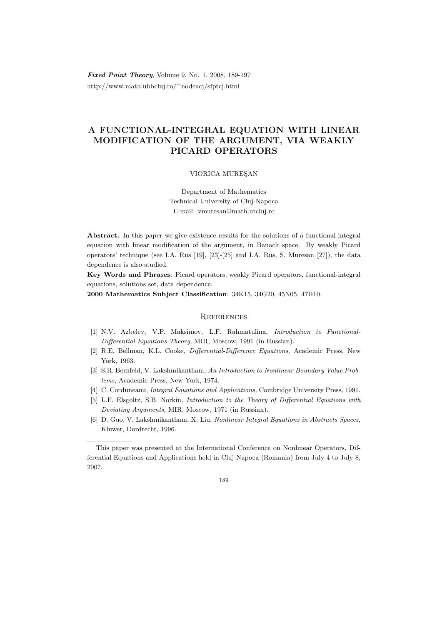Fixed Point Theory, Volume 9, No. 1, 2008, 189-197 http://www.math.ubbcluj.ro/<sup>∼</sup>nodeacj/sfptcj.html

## A FUNCTIONAL-INTEGRAL EQUATION WITH LINEAR MODIFICATION OF THE ARGUMENT, VIA WEAKLY PICARD OPERATORS

## VIORICA MUREŞAN

Department of Mathematics Technical University of Cluj-Napoca E-mail: vmuresan@math.utcluj.ro

Abstract. In this paper we give existence results for the solutions of a functional-integral equation with linear modification of the argument, in Banach space. By weakly Picard operators' technique (see I.A. Rus [19], [23]-[25] and I.A. Rus, S. Muresan [27]), the data dependence is also studied.

Key Words and Phrases: Picard operators, weakly Picard operators, functional-integral equations, solutions set, data dependence.

2000 Mathematics Subject Classification: 34K15, 34G20, 45N05, 47H10.

## **REFERENCES**

- [1] N.V. Azbelev, V.P. Maksimov, L.F. Rahmatulina, Introduction to Functional-Differential Equations Theory, MIR, Moscow, 1991 (in Russian).
- [2] R.E. Bellman, K.L. Cooke, Differential-Difference Equations, Academic Press, New York, 1963.
- [3] S.R. Bernfeld, V. Lakshmikantham, An Introduction to Nonlinear Boundary Value Problems, Academic Press, New York, 1974.
- [4] C. Corduneanu, Integral Equations and Applications, Cambridge University Press, 1991.
- [5] L.F. Elsgoltz, S.B. Norkin, Introduction to the Theory of Differential Equations with Deviating Arguments, MIR, Moscow, 1971 (in Russian).
- [6] D. Guo, V. Lakshmikantham, X. Liu, Nonlinear Integral Equations in Abstracts Spaces, Kluwer, Dordrecht, 1996.

This paper was presented at the International Conference on Nonlinear Operators, Differential Equations and Applications held in Cluj-Napoca (Romania) from July 4 to July 8, 2007.

<sup>189</sup>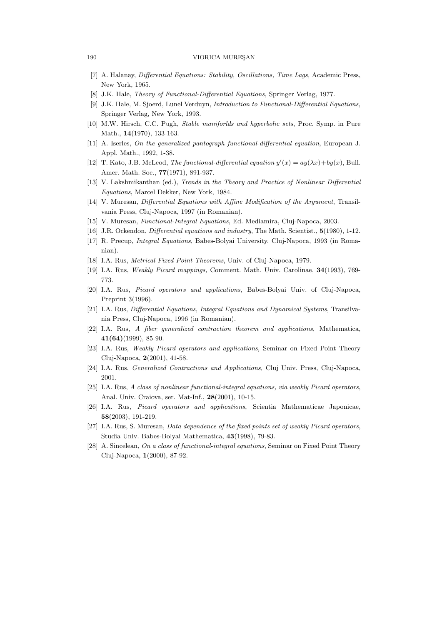## 190 VIORICA MUREŞAN

- [7] A. Halanay, Differential Equations: Stability, Oscillations, Time Lags, Academic Press, New York, 1965.
- [8] J.K. Hale, Theory of Functional-Differential Equations, Springer Verlag, 1977.
- [9] J.K. Hale, M. Sjoerd, Lunel Verduyn, Introduction to Functional-Differential Equations, Springer Verlag, New York, 1993.
- [10] M.W. Hirsch, C.C. Pugh, Stable maniforlds and hyperbolic sets, Proc. Symp. in Pure Math., 14(1970), 133-163.
- [11] A. Iserles, On the generalized pantograph functional-differential equation, European J. Appl. Math., 1992, 1-38.
- [12] T. Kato, J.B. McLeod, *The functional-differential equation*  $y'(x) = ay(\lambda x) + by(x)$ , Bull. Amer. Math. Soc., **77**(1971), 891-937.
- [13] V. Lakshmikanthan (ed.), Trends in the Theory and Practice of Nonlinear Differential Equations, Marcel Dekker, New York, 1984.
- [14] V. Muresan, Differential Equations with Affine Modification of the Argument, Transilvania Press, Cluj-Napoca, 1997 (in Romanian).
- [15] V. Muresan, Functional-Integral Equations, Ed. Mediamira, Cluj-Napoca, 2003.
- [16] J.R. Ockendon, *Differential equations and industry*, The Math. Scientist., **5**(1980), 1-12.
- [17] R. Precup, Integral Equations, Babes-Bolyai University, Cluj-Napoca, 1993 (in Romanian).
- [18] I.A. Rus, Metrical Fixed Point Theorems, Univ. of Cluj-Napoca, 1979.
- [19] I.A. Rus, Weakly Picard mappings, Comment. Math. Univ. Carolinae, 34(1993), 769- 773.
- [20] I.A. Rus, Picard operators and applications, Babes-Bolyai Univ. of Cluj-Napoca, Preprint 3(1996).
- [21] I.A. Rus, Differential Equations, Integral Equations and Dynamical Systems, Transilvania Press, Cluj-Napoca, 1996 (in Romanian).
- [22] I.A. Rus, A fiber generalized contraction theorem and applications, Mathematica,  $41(64)(1999)$ , 85-90.
- [23] I.A. Rus, Weakly Picard operators and applications, Seminar on Fixed Point Theory Cluj-Napoca, 2(2001), 41-58.
- [24] I.A. Rus, Generalized Contractions and Applications, Cluj Univ. Press, Cluj-Napoca, 2001.
- [25] I.A. Rus, A class of nonlinear functional-integral equations, via weakly Picard operators, Anal. Univ. Craiova, ser. Mat-Inf., 28(2001), 10-15.
- [26] I.A. Rus, Picard operators and applications, Scientia Mathematicae Japonicae, 58(2003), 191-219.
- [27] I.A. Rus, S. Muresan, Data dependence of the fixed points set of weakly Picard operators, Studia Univ. Babes-Bolyai Mathematica, 43(1998), 79-83.
- [28] A. Sincelean, On a class of functional-integral equations, Seminar on Fixed Point Theory Cluj-Napoca, 1(2000), 87-92.